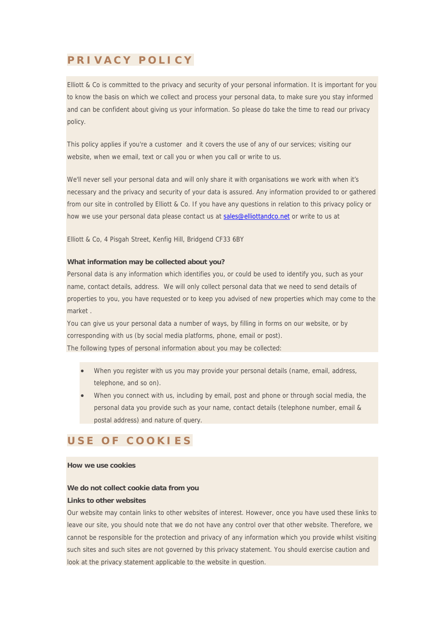## **PRIVACY POLICY**

Elliott & Co is committed to the privacy and security of your personal information. It is important for you to know the basis on which we collect and process your personal data, to make sure you stay informed and can be confident about giving us your information. So please do take the time to read our privacy policy.

This policy applies if you're a customer and it covers the use of any of our services; visiting our website, when we email, text or call you or when you call or write to us.

We'll never sell your personal data and will only share it with organisations we work with when it's necessary and the privacy and security of your data is assured. Any information provided to or gathered from our site in controlled by Elliott & Co. If you have any questions in relation to this privacy policy or how we use your personal data please contact us at sales@elliottandco.net or write to us at

Elliott & Co, 4 Pisgah Street, Kenfig Hill, Bridgend CF33 6BY

### **What information may be collected about you?**

Personal data is any information which identifies you, or could be used to identify you, such as your name, contact details, address. We will only collect personal data that we need to send details of properties to you, you have requested or to keep you advised of new properties which may come to the market .

You can give us your personal data a number of ways, by filling in forms on our website, or by corresponding with us (by social media platforms, phone, email or post). The following types of personal information about you may be collected:

- When you register with us you may provide your personal details (name, email, address, telephone, and so on).
- When you connect with us, including by email, post and phone or through social media, the personal data you provide such as your name, contact details (telephone number, email & postal address) and nature of query.

## **USE OF COOKIES**

## **How we use cookies**

# **We do not collect cookie data from you**

## **Links to other websites**

Our website may contain links to other websites of interest. However, once you have used these links to leave our site, you should note that we do not have any control over that other website. Therefore, we cannot be responsible for the protection and privacy of any information which you provide whilst visiting such sites and such sites are not governed by this privacy statement. You should exercise caution and look at the privacy statement applicable to the website in question.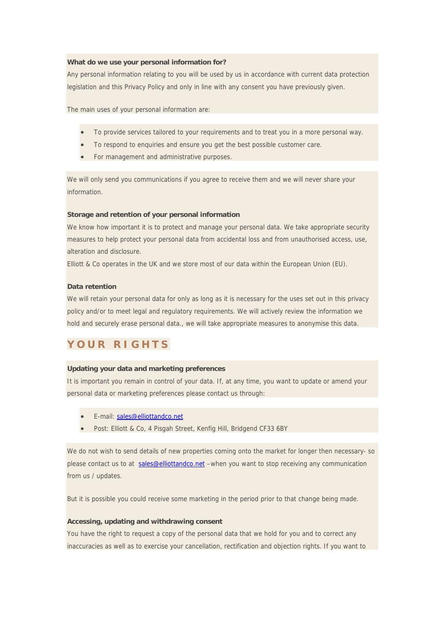### **What do we use your personal information for?**

Any personal information relating to you will be used by us in accordance with current data protection legislation and this Privacy Policy and only in line with any consent you have previously given.

The main uses of your personal information are:

- To provide services tailored to your requirements and to treat you in a more personal way.
- To respond to enquiries and ensure you get the best possible customer care.
- For management and administrative purposes.

We will only send you communications if you agree to receive them and we will never share your information.

#### **Storage and retention of your personal information**

We know how important it is to protect and manage your personal data. We take appropriate security measures to help protect your personal data from accidental loss and from unauthorised access, use, alteration and disclosure.

Elliott & Co operates in the UK and we store most of our data within the European Union (EU).

### **Data retention**

We will retain your personal data for only as long as it is necessary for the uses set out in this privacy policy and/or to meet legal and regulatory requirements. We will actively review the information we hold and securely erase personal data., we will take appropriate measures to anonymise this data.

# **YOUR RIGHTS**

#### **Updating your data and marketing preferences**

It is important you remain in control of your data. If, at any time, you want to update or amend your personal data or marketing preferences please contact us through:

- E-mail: sales@elliottandco.net
- Post: Elliott & Co, 4 Pisgah Street, Kenfig Hill, Bridgend CF33 6BY

We do not wish to send details of new properties coming onto the market for longer then necessary- so please contact us to at sales@elliottandco.net –when you want to stop receiving any communication from us / updates.

But it is possible you could receive some marketing in the period prior to that change being made.

#### **Accessing, updating and withdrawing consent**

You have the right to request a copy of the personal data that we hold for you and to correct any inaccuracies as well as to exercise your cancellation, rectification and objection rights. If you want to